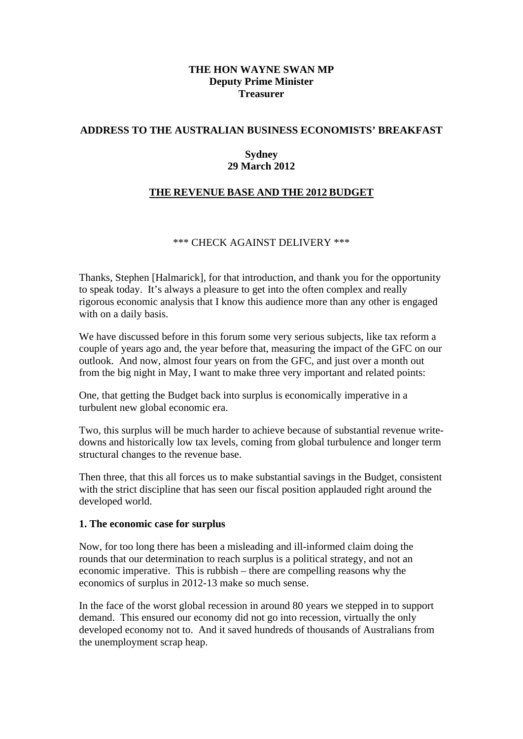## **THE HON WAYNE SWAN MP Deputy Prime Minister Treasurer**

## **ADDRESS TO THE AUSTRALIAN BUSINESS ECONOMISTS' BREAKFAST**

## **Sydney 29 March 2012**

# **THE REVENUE BASE AND THE 2012 BUDGET**

# \*\*\* CHECK AGAINST DELIVERY \*\*\*

Thanks, Stephen [Halmarick], for that introduction, and thank you for the opportunity to speak today. It's always a pleasure to get into the often complex and really rigorous economic analysis that I know this audience more than any other is engaged with on a daily basis.

We have discussed before in this forum some very serious subjects, like tax reform a couple of years ago and, the year before that, measuring the impact of the GFC on our outlook. And now, almost four years on from the GFC, and just over a month out from the big night in May, I want to make three very important and related points:

One, that getting the Budget back into surplus is economically imperative in a turbulent new global economic era.

Two, this surplus will be much harder to achieve because of substantial revenue writedowns and historically low tax levels, coming from global turbulence and longer term structural changes to the revenue base.

Then three, that this all forces us to make substantial savings in the Budget, consistent with the strict discipline that has seen our fiscal position applauded right around the developed world.

## **1. The economic case for surplus**

Now, for too long there has been a misleading and ill-informed claim doing the rounds that our determination to reach surplus is a political strategy, and not an economic imperative. This is rubbish – there are compelling reasons why the economics of surplus in 2012-13 make so much sense.

In the face of the worst global recession in around 80 years we stepped in to support demand. This ensured our economy did not go into recession, virtually the only developed economy not to. And it saved hundreds of thousands of Australians from the unemployment scrap heap.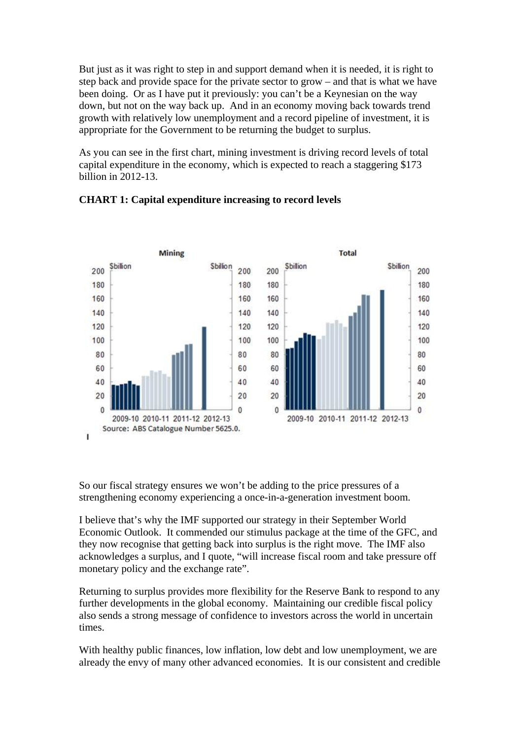But just as it was right to step in and support demand when it is needed, it is right to step back and provide space for the private sector to grow – and that is what we have been doing. Or as I have put it previously: you can't be a Keynesian on the way down, but not on the way back up. And in an economy moving back towards trend growth with relatively low unemployment and a record pipeline of investment, it is appropriate for the Government to be returning the budget to surplus.

As you can see in the first chart, mining investment is driving record levels of total capital expenditure in the economy, which is expected to reach a staggering \$173 billion in 2012-13.



# **CHART 1: Capital expenditure increasing to record levels**

So our fiscal strategy ensures we won't be adding to the price pressures of a strengthening economy experiencing a once-in-a-generation investment boom.

I believe that's why the IMF supported our strategy in their September World Economic Outlook. It commended our stimulus package at the time of the GFC, and they now recognise that getting back into surplus is the right move. The IMF also acknowledges a surplus, and I quote, "will increase fiscal room and take pressure off monetary policy and the exchange rate".

Returning to surplus provides more flexibility for the Reserve Bank to respond to any further developments in the global economy. Maintaining our credible fiscal policy also sends a strong message of confidence to investors across the world in uncertain times.

With healthy public finances, low inflation, low debt and low unemployment, we are already the envy of many other advanced economies. It is our consistent and credible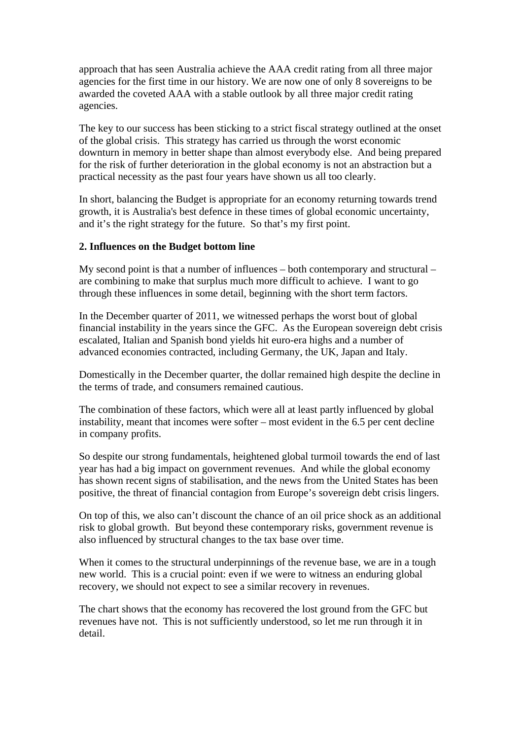approach that has seen Australia achieve the AAA credit rating from all three major agencies for the first time in our history. We are now one of only 8 sovereigns to be awarded the coveted AAA with a stable outlook by all three major credit rating agencies.

The key to our success has been sticking to a strict fiscal strategy outlined at the onset of the global crisis. This strategy has carried us through the worst economic downturn in memory in better shape than almost everybody else. And being prepared for the risk of further deterioration in the global economy is not an abstraction but a practical necessity as the past four years have shown us all too clearly.

In short, balancing the Budget is appropriate for an economy returning towards trend growth, it is Australia's best defence in these times of global economic uncertainty, and it's the right strategy for the future. So that's my first point.

# **2. Influences on the Budget bottom line**

My second point is that a number of influences – both contemporary and structural – are combining to make that surplus much more difficult to achieve. I want to go through these influences in some detail, beginning with the short term factors.

In the December quarter of 2011, we witnessed perhaps the worst bout of global financial instability in the years since the GFC. As the European sovereign debt crisis escalated, Italian and Spanish bond yields hit euro-era highs and a number of advanced economies contracted, including Germany, the UK, Japan and Italy.

Domestically in the December quarter, the dollar remained high despite the decline in the terms of trade, and consumers remained cautious.

The combination of these factors, which were all at least partly influenced by global instability, meant that incomes were softer – most evident in the 6.5 per cent decline in company profits.

So despite our strong fundamentals, heightened global turmoil towards the end of last year has had a big impact on government revenues. And while the global economy has shown recent signs of stabilisation, and the news from the United States has been positive, the threat of financial contagion from Europe's sovereign debt crisis lingers.

On top of this, we also can't discount the chance of an oil price shock as an additional risk to global growth. But beyond these contemporary risks, government revenue is also influenced by structural changes to the tax base over time.

When it comes to the structural underpinnings of the revenue base, we are in a tough new world. This is a crucial point: even if we were to witness an enduring global recovery, we should not expect to see a similar recovery in revenues.

The chart shows that the economy has recovered the lost ground from the GFC but revenues have not. This is not sufficiently understood, so let me run through it in detail.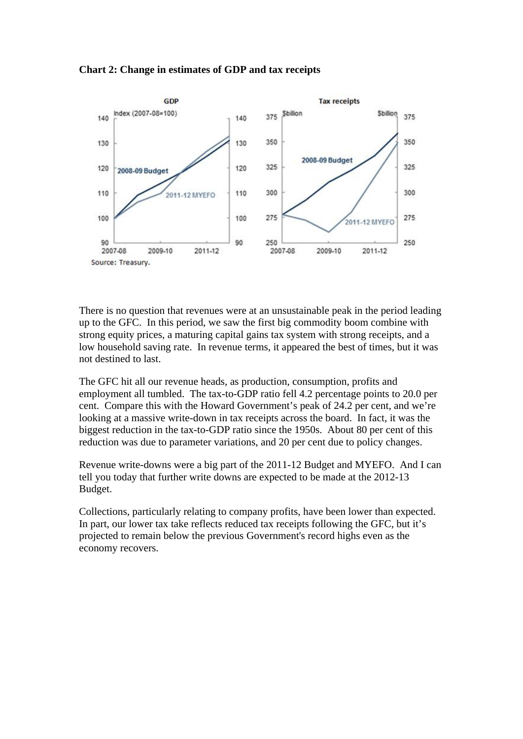



There is no question that revenues were at an unsustainable peak in the period leading up to the GFC. In this period, we saw the first big commodity boom combine with strong equity prices, a maturing capital gains tax system with strong receipts, and a low household saving rate. In revenue terms, it appeared the best of times, but it was not destined to last.

The GFC hit all our revenue heads, as production, consumption, profits and employment all tumbled. The tax-to-GDP ratio fell 4.2 percentage points to 20.0 per cent. Compare this with the Howard Government's peak of 24.2 per cent, and we're looking at a massive write-down in tax receipts across the board. In fact, it was the biggest reduction in the tax-to-GDP ratio since the 1950s. About 80 per cent of this reduction was due to parameter variations, and 20 per cent due to policy changes.

Revenue write-downs were a big part of the 2011-12 Budget and MYEFO. And I can tell you today that further write downs are expected to be made at the 2012-13 Budget.

Collections, particularly relating to company profits, have been lower than expected. In part, our lower tax take reflects reduced tax receipts following the GFC, but it's projected to remain below the previous Government's record highs even as the economy recovers.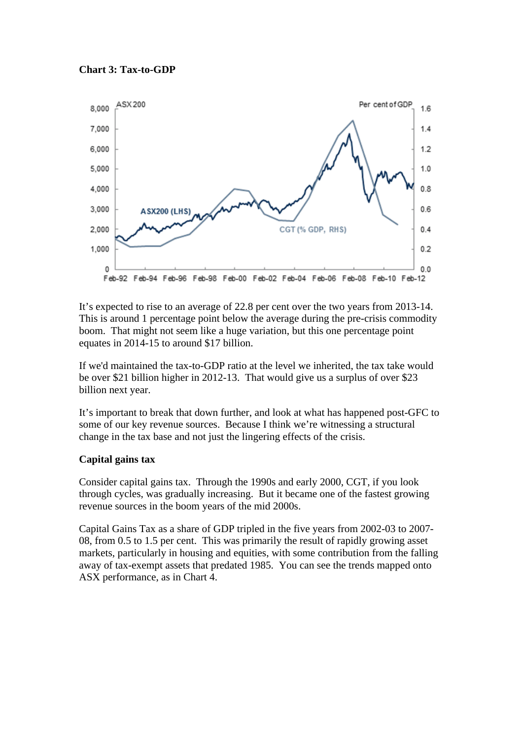



It's expected to rise to an average of 22.8 per cent over the two years from 2013-14. This is around 1 percentage point below the average during the pre-crisis commodity boom. That might not seem like a huge variation, but this one percentage point equates in 2014-15 to around \$17 billion.

If we'd maintained the tax-to-GDP ratio at the level we inherited, the tax take would be over \$21 billion higher in 2012-13. That would give us a surplus of over \$23 billion next year.

It's important to break that down further, and look at what has happened post-GFC to some of our key revenue sources. Because I think we're witnessing a structural change in the tax base and not just the lingering effects of the crisis.

# **Capital gains tax**

Consider capital gains tax. Through the 1990s and early 2000, CGT, if you look through cycles, was gradually increasing. But it became one of the fastest growing revenue sources in the boom years of the mid 2000s.

Capital Gains Tax as a share of GDP tripled in the five years from 2002-03 to 2007- 08, from 0.5 to 1.5 per cent. This was primarily the result of rapidly growing asset markets, particularly in housing and equities, with some contribution from the falling away of tax-exempt assets that predated 1985. You can see the trends mapped onto ASX performance, as in Chart 4.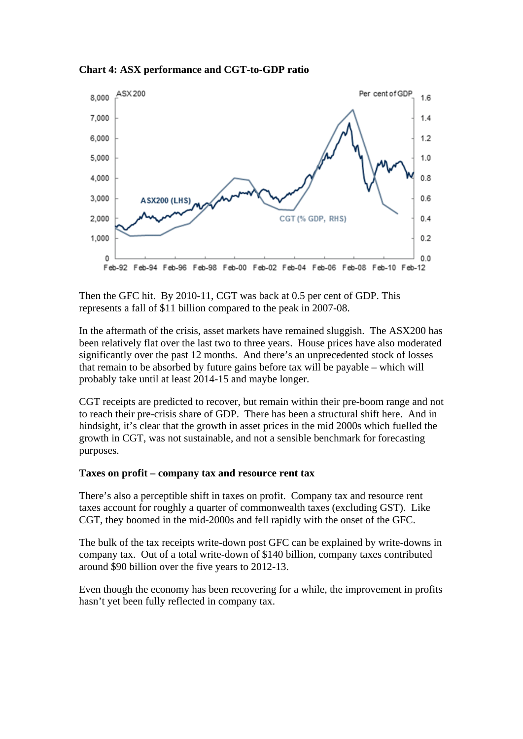**Chart 4: ASX performance and CGT-to-GDP ratio** 



Then the GFC hit. By 2010-11, CGT was back at 0.5 per cent of GDP. This represents a fall of \$11 billion compared to the peak in 2007-08.

In the aftermath of the crisis, asset markets have remained sluggish. The ASX200 has been relatively flat over the last two to three years. House prices have also moderated significantly over the past 12 months. And there's an unprecedented stock of losses that remain to be absorbed by future gains before tax will be payable – which will probably take until at least 2014-15 and maybe longer.

CGT receipts are predicted to recover, but remain within their pre-boom range and not to reach their pre-crisis share of GDP. There has been a structural shift here. And in hindsight, it's clear that the growth in asset prices in the mid 2000s which fuelled the growth in CGT, was not sustainable, and not a sensible benchmark for forecasting purposes.

## **Taxes on profit – company tax and resource rent tax**

There's also a perceptible shift in taxes on profit. Company tax and resource rent taxes account for roughly a quarter of commonwealth taxes (excluding GST). Like CGT, they boomed in the mid-2000s and fell rapidly with the onset of the GFC.

The bulk of the tax receipts write-down post GFC can be explained by write-downs in company tax. Out of a total write-down of \$140 billion, company taxes contributed around \$90 billion over the five years to 2012-13.

Even though the economy has been recovering for a while, the improvement in profits hasn't yet been fully reflected in company tax.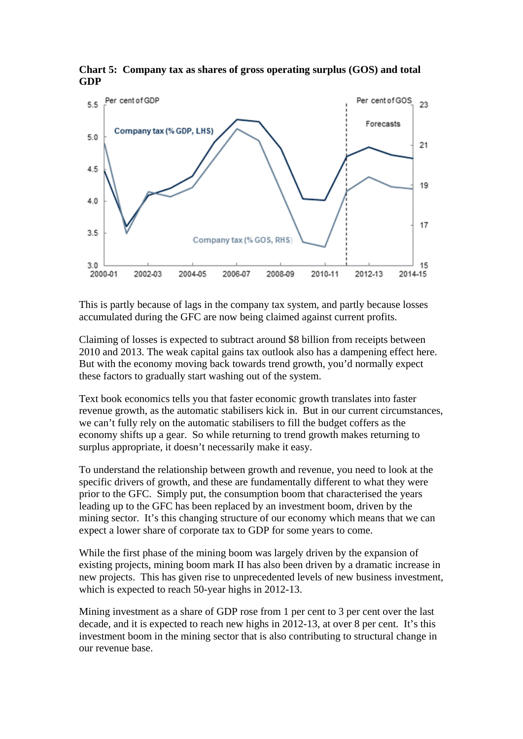

**Chart 5: Company tax as shares of gross operating surplus (GOS) and total GDP** 

This is partly because of lags in the company tax system, and partly because losses accumulated during the GFC are now being claimed against current profits.

Claiming of losses is expected to subtract around \$8 billion from receipts between 2010 and 2013. The weak capital gains tax outlook also has a dampening effect here. But with the economy moving back towards trend growth, you'd normally expect these factors to gradually start washing out of the system.

Text book economics tells you that faster economic growth translates into faster revenue growth, as the automatic stabilisers kick in. But in our current circumstances, we can't fully rely on the automatic stabilisers to fill the budget coffers as the economy shifts up a gear. So while returning to trend growth makes returning to surplus appropriate, it doesn't necessarily make it easy.

To understand the relationship between growth and revenue, you need to look at the specific drivers of growth, and these are fundamentally different to what they were prior to the GFC. Simply put, the consumption boom that characterised the years leading up to the GFC has been replaced by an investment boom, driven by the mining sector. It's this changing structure of our economy which means that we can expect a lower share of corporate tax to GDP for some years to come.

While the first phase of the mining boom was largely driven by the expansion of existing projects, mining boom mark II has also been driven by a dramatic increase in new projects. This has given rise to unprecedented levels of new business investment, which is expected to reach 50-year highs in 2012-13.

Mining investment as a share of GDP rose from 1 per cent to 3 per cent over the last decade, and it is expected to reach new highs in 2012-13, at over 8 per cent. It's this investment boom in the mining sector that is also contributing to structural change in our revenue base.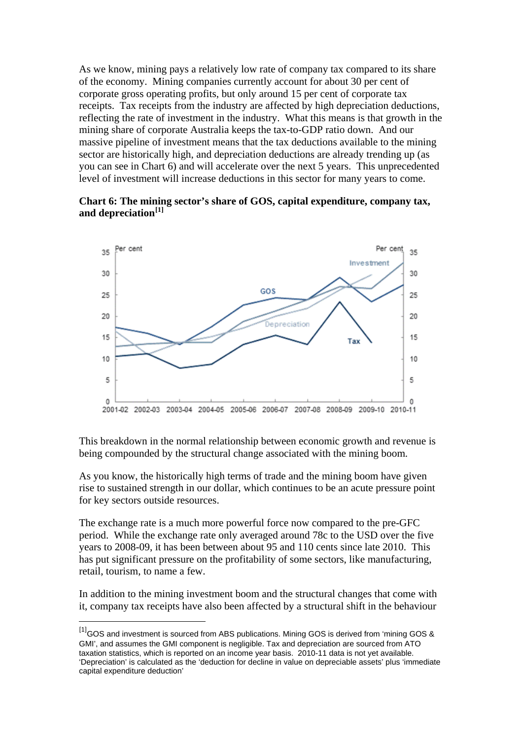As we know, mining pays a relatively low rate of company tax compared to its share of the economy. Mining companies currently account for about 30 per cent of corporate gross operating profits, but only around 15 per cent of corporate tax receipts. Tax receipts from the industry are affected by high depreciation deductions, reflecting the rate of investment in the industry. What this means is that growth in the mining share of corporate Australia keeps the tax-to-GDP ratio down. And our massive pipeline of investment means that the tax deductions available to the mining sector are historically high, and depreciation deductions are already trending up (as you can see in Chart 6) and will accelerate over the next 5 years. This unprecedented level of investment will increase deductions in this sector for many years to come.

#### **Chart 6: The mining sector's share of GOS, capital expenditure, company tax, and depreciation[\[1\]](#page-7-0)**



This breakdown in the normal relationship between economic growth and revenue is being compounded by the structural change associated with the mining boom.

As you know, the historically high terms of trade and the mining boom have given rise to sustained strength in our dollar, which continues to be an acute pressure point for key sectors outside resources.

The exchange rate is a much more powerful force now compared to the pre-GFC period. While the exchange rate only averaged around 78c to the USD over the five years to 2008-09, it has been between about 95 and 110 cents since late 2010. This has put significant pressure on the profitability of some sectors, like manufacturing, retail, tourism, to name a few.

In addition to the mining investment boom and the structural changes that come with it, company tax receipts have also been affected by a structural shift in the behaviour

<u>.</u>

<span id="page-7-0"></span><sup>&</sup>lt;sup>[1]</sup>GOS and investment is sourced from ABS publications. Mining GOS is derived from 'mining GOS & GMI', and assumes the GMI component is negligible. Tax and depreciation are sourced from ATO taxation statistics, which is reported on an income year basis. 2010-11 data is not yet available. 'Depreciation' is calculated as the 'deduction for decline in value on depreciable assets' plus 'immediate capital expenditure deduction'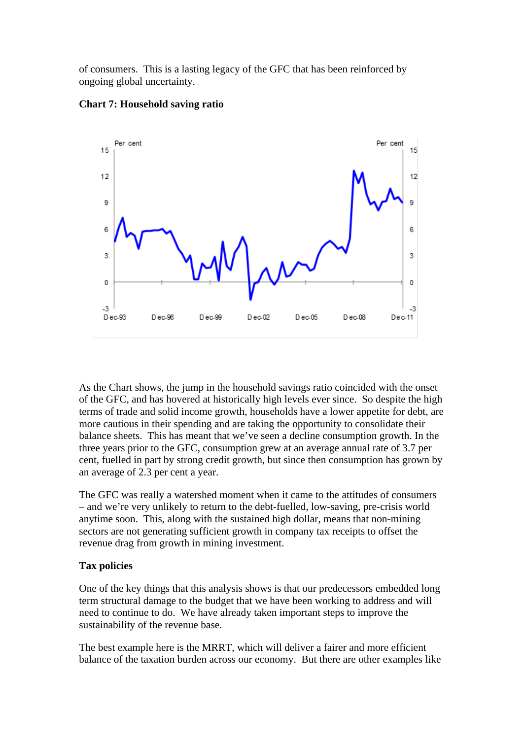of consumers. This is a lasting legacy of the GFC that has been reinforced by ongoing global uncertainty.



#### **Chart 7: Household saving ratio**

As the Chart shows, the jump in the household savings ratio coincided with the onset of the GFC, and has hovered at historically high levels ever since. So despite the high terms of trade and solid income growth, households have a lower appetite for debt, are more cautious in their spending and are taking the opportunity to consolidate their balance sheets. This has meant that we've seen a decline consumption growth. In the three years prior to the GFC, consumption grew at an average annual rate of 3.7 per cent, fuelled in part by strong credit growth, but since then consumption has grown by an average of 2.3 per cent a year.

The GFC was really a watershed moment when it came to the attitudes of consumers – and we're very unlikely to return to the debt-fuelled, low-saving, pre-crisis world anytime soon. This, along with the sustained high dollar, means that non-mining sectors are not generating sufficient growth in company tax receipts to offset the revenue drag from growth in mining investment.

# **Tax policies**

One of the key things that this analysis shows is that our predecessors embedded long term structural damage to the budget that we have been working to address and will need to continue to do. We have already taken important steps to improve the sustainability of the revenue base.

The best example here is the MRRT, which will deliver a fairer and more efficient balance of the taxation burden across our economy. But there are other examples like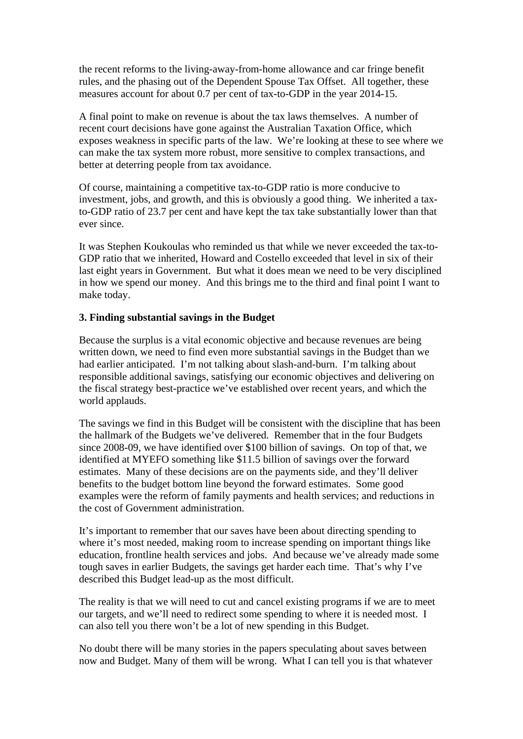the recent reforms to the living-away-from-home allowance and car fringe benefit rules, and the phasing out of the Dependent Spouse Tax Offset. All together, these measures account for about 0.7 per cent of tax-to-GDP in the year 2014-15.

A final point to make on revenue is about the tax laws themselves. A number of recent court decisions have gone against the Australian Taxation Office, which exposes weakness in specific parts of the law. We're looking at these to see where we can make the tax system more robust, more sensitive to complex transactions, and better at deterring people from tax avoidance.

Of course, maintaining a competitive tax-to-GDP ratio is more conducive to investment, jobs, and growth, and this is obviously a good thing. We inherited a taxto-GDP ratio of 23.7 per cent and have kept the tax take substantially lower than that ever since.

It was Stephen Koukoulas who reminded us that while we never exceeded the tax-to-GDP ratio that we inherited, Howard and Costello exceeded that level in six of their last eight years in Government. But what it does mean we need to be very disciplined in how we spend our money. And this brings me to the third and final point I want to make today.

## **3. Finding substantial savings in the Budget**

Because the surplus is a vital economic objective and because revenues are being written down, we need to find even more substantial savings in the Budget than we had earlier anticipated. I'm not talking about slash-and-burn. I'm talking about responsible additional savings, satisfying our economic objectives and delivering on the fiscal strategy best-practice we've established over recent years, and which the world applauds.

The savings we find in this Budget will be consistent with the discipline that has been the hallmark of the Budgets we've delivered. Remember that in the four Budgets since 2008-09, we have identified over \$100 billion of savings. On top of that, we identified at MYEFO something like \$11.5 billion of savings over the forward estimates. Many of these decisions are on the payments side, and they'll deliver benefits to the budget bottom line beyond the forward estimates. Some good examples were the reform of family payments and health services; and reductions in the cost of Government administration.

It's important to remember that our saves have been about directing spending to where it's most needed, making room to increase spending on important things like education, frontline health services and jobs. And because we've already made some tough saves in earlier Budgets, the savings get harder each time. That's why I've described this Budget lead-up as the most difficult.

The reality is that we will need to cut and cancel existing programs if we are to meet our targets, and we'll need to redirect some spending to where it is needed most. I can also tell you there won't be a lot of new spending in this Budget.

No doubt there will be many stories in the papers speculating about saves between now and Budget. Many of them will be wrong. What I can tell you is that whatever